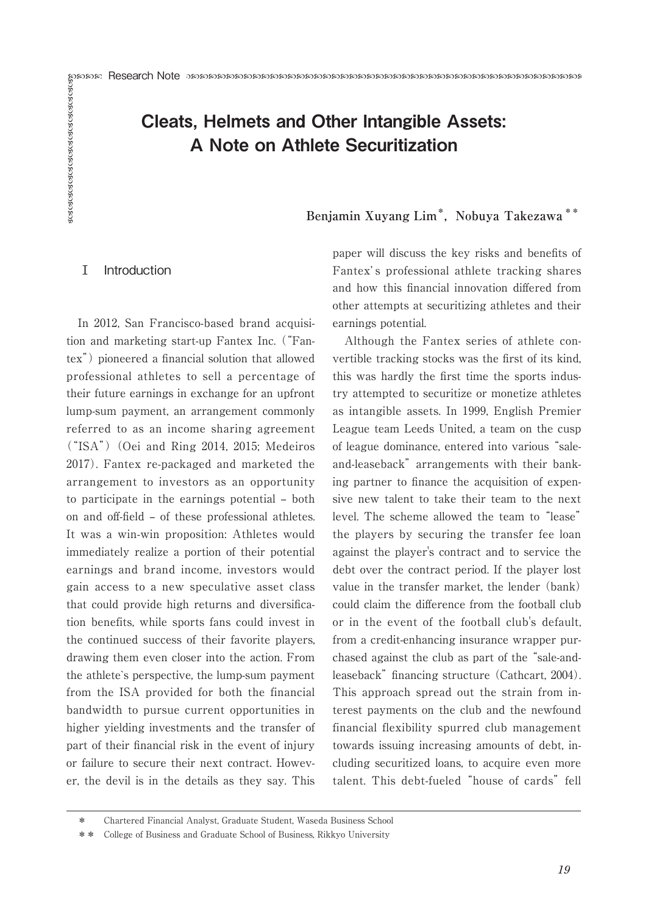# Research Note Cleats, Helmets and Other Intangible Assets: A Note on Athlete Securitization

**Benjamin Xuyang Lim\*, Nobuya Takezawa \*\***

## Ⅰ Introduction

In 2012, San Francisco-based brand acquisition and marketing start-up Fantex Inc. ("Fantex") pioneered a financial solution that allowed professional athletes to sell a percentage of their future earnings in exchange for an upfront lump-sum payment, an arrangement commonly referred to as an income sharing agreement  $("ISA")$  (Oei and Ring 2014, 2015; Medeiros 2017). Fantex re-packaged and marketed the arrangement to investors as an opportunity to participate in the earnings potential – both on and off-field – of these professional athletes. It was a win-win proposition: Athletes would immediately realize a portion of their potential earnings and brand income, investors would gain access to a new speculative asset class that could provide high returns and diversification benefits, while sports fans could invest in the continued success of their favorite players, drawing them even closer into the action. From the athlete`s perspective, the lump-sum payment from the ISA provided for both the financial bandwidth to pursue current opportunities in higher yielding investments and the transfer of part of their financial risk in the event of injury or failure to secure their next contract. However, the devil is in the details as they say. This

paper will discuss the key risks and benefits of Fantex' s professional athlete tracking shares and how this financial innovation differed from other attempts at securitizing athletes and their earnings potential.

Although the Fantex series of athlete convertible tracking stocks was the first of its kind, this was hardly the first time the sports industry attempted to securitize or monetize athletes as intangible assets. In 1999, English Premier League team Leeds United, a team on the cusp of league dominance, entered into various "saleand-leaseback" arrangements with their banking partner to finance the acquisition of expensive new talent to take their team to the next level. The scheme allowed the team to "lease" the players by securing the transfer fee loan against the player's contract and to service the debt over the contract period. If the player lost value in the transfer market, the lender (bank) could claim the difference from the football club or in the event of the football club's default, from a credit-enhancing insurance wrapper purchased against the club as part of the "sale-andleaseback" financing structure (Cathcart, 2004). This approach spread out the strain from interest payments on the club and the newfound financial flexibility spurred club management towards issuing increasing amounts of debt, including securitized loans, to acquire even more talent. This debt-fueled "house of cards" fell

<sup>\*</sup> Chartered Financial Analyst, Graduate Student, Waseda Business School

<sup>\*\*</sup> College of Business and Graduate School of Business, Rikkyo University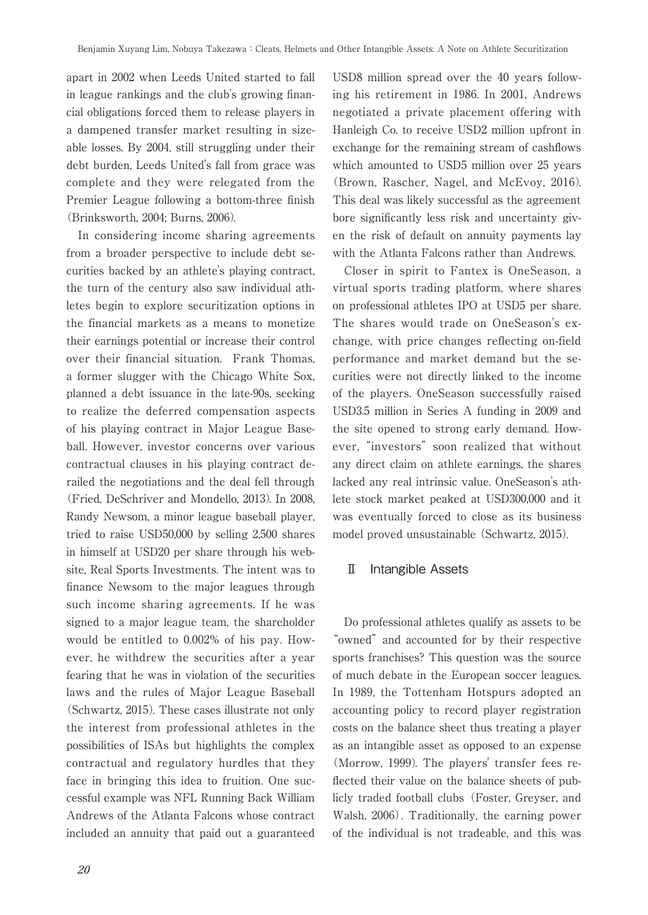apart in 2002 when Leeds United started to fall in league rankings and the club's growing financial obligations forced them to release players in a dampened transfer market resulting in sizeable losses. By 2004, still struggling under their debt burden, Leeds United's fall from grace was complete and they were relegated from the Premier League following a bottom-three finish (Brinksworth, 2004; Burns, 2006).

In considering income sharing agreements from a broader perspective to include debt securities backed by an athlete's playing contract, the turn of the century also saw individual athletes begin to explore securitization options in the financial markets as a means to monetize their earnings potential or increase their control over their financial situation. Frank Thomas, a former slugger with the Chicago White Sox, planned a debt issuance in the late-90s, seeking to realize the deferred compensation aspects of his playing contract in Major League Baseball. However, investor concerns over various contractual clauses in his playing contract derailed the negotiations and the deal fell through (Fried, DeSchriver and Mondello, 2013). In 2008, Randy Newsom, a minor league baseball player, tried to raise USD50,000 by selling 2,500 shares in himself at USD20 per share through his website, Real Sports Investments. The intent was to finance Newsom to the major leagues through such income sharing agreements. If he was signed to a major league team, the shareholder would be entitled to 0.002% of his pay. However, he withdrew the securities after a year fearing that he was in violation of the securities laws and the rules of Major League Baseball (Schwartz, 2015). These cases illustrate not only the interest from professional athletes in the possibilities of ISAs but highlights the complex contractual and regulatory hurdles that they face in bringing this idea to fruition. One successful example was NFL Running Back William Andrews of the Atlanta Falcons whose contract included an annuity that paid out a guaranteed USD8 million spread over the 40 years following his retirement in 1986. In 2001, Andrews negotiated a private placement offering with Hanleigh Co. to receive USD2 million upfront in exchange for the remaining stream of cashflows which amounted to USD5 million over 25 years (Brown, Rascher, Nagel, and McEvoy, 2016). This deal was likely successful as the agreement bore significantly less risk and uncertainty given the risk of default on annuity payments lay with the Atlanta Falcons rather than Andrews.

Closer in spirit to Fantex is OneSeason, a virtual sports trading platform, where shares on professional athletes IPO at USD5 per share. The shares would trade on OneSeason's exchange, with price changes reflecting on-field performance and market demand but the securities were not directly linked to the income of the players. OneSeason successfully raised USD3.5 million in Series A funding in 2009 and the site opened to strong early demand. However, "investors" soon realized that without any direct claim on athlete earnings, the shares lacked any real intrinsic value. OneSeason's athlete stock market peaked at USD300,000 and it was eventually forced to close as its business model proved unsustainable (Schwartz, 2015).

#### Ⅱ Intangible Assets

Do professional athletes qualify as assets to be "owned" and accounted for by their respective sports franchises? This question was the source of much debate in the European soccer leagues. In 1989, the Tottenham Hotspurs adopted an accounting policy to record player registration costs on the balance sheet thus treating a player as an intangible asset as opposed to an expense (Morrow, 1999). The players' transfer fees reflected their value on the balance sheets of publicly traded football clubs (Foster, Greyser, and Walsh, 2006). Traditionally, the earning power of the individual is not tradeable, and this was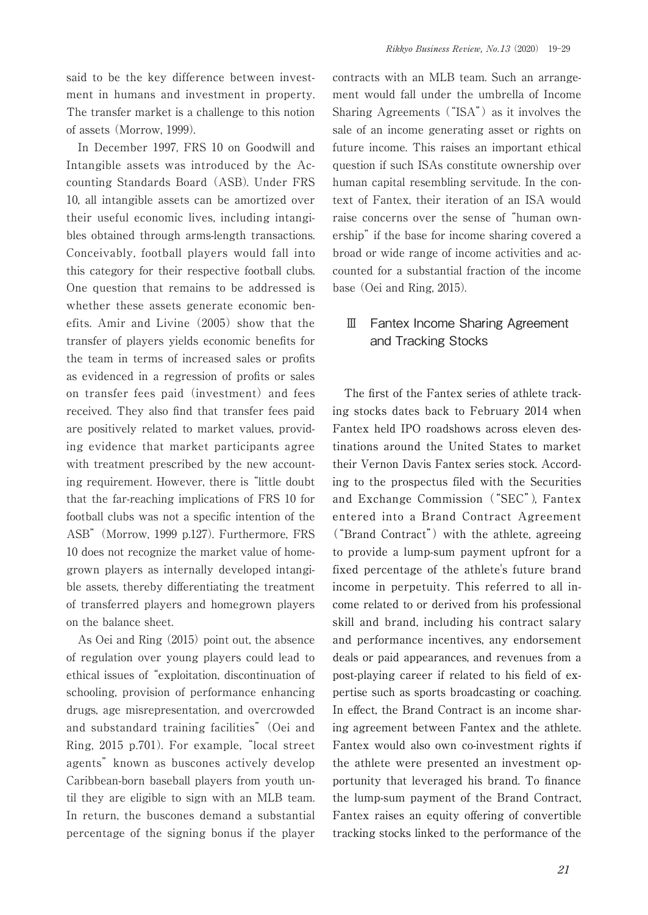said to be the key difference between investment in humans and investment in property. The transfer market is a challenge to this notion of assets (Morrow, 1999).

In December 1997, FRS 10 on Goodwill and Intangible assets was introduced by the Accounting Standards Board (ASB). Under FRS 10, all intangible assets can be amortized over their useful economic lives, including intangibles obtained through arms-length transactions. Conceivably, football players would fall into this category for their respective football clubs. One question that remains to be addressed is whether these assets generate economic benefits. Amir and Livine (2005) show that the transfer of players yields economic benefits for the team in terms of increased sales or profits as evidenced in a regression of profits or sales on transfer fees paid (investment) and fees received. They also find that transfer fees paid are positively related to market values, providing evidence that market participants agree with treatment prescribed by the new accounting requirement. However, there is "little doubt that the far-reaching implications of FRS 10 for football clubs was not a specific intention of the ASB" (Morrow, 1999 p.127). Furthermore, FRS 10 does not recognize the market value of homegrown players as internally developed intangible assets, thereby differentiating the treatment of transferred players and homegrown players on the balance sheet.

As Oei and Ring (2015) point out, the absence of regulation over young players could lead to ethical issues of "exploitation, discontinuation of schooling, provision of performance enhancing drugs, age misrepresentation, and overcrowded and substandard training facilities" (Oei and Ring, 2015 p.701). For example, "local street agents" known as buscones actively develop Caribbean-born baseball players from youth until they are eligible to sign with an MLB team. In return, the buscones demand a substantial percentage of the signing bonus if the player

contracts with an MLB team. Such an arrangement would fall under the umbrella of Income Sharing Agreements ("ISA") as it involves the sale of an income generating asset or rights on future income. This raises an important ethical question if such ISAs constitute ownership over human capital resembling servitude. In the context of Fantex, their iteration of an ISA would raise concerns over the sense of "human ownership" if the base for income sharing covered a broad or wide range of income activities and accounted for a substantial fraction of the income base (Oei and Ring, 2015).

# Ⅲ Fantex Income Sharing Agreement and Tracking Stocks

The first of the Fantex series of athlete tracking stocks dates back to February 2014 when Fantex held IPO roadshows across eleven destinations around the United States to market their Vernon Davis Fantex series stock. According to the prospectus filed with the Securities and Exchange Commission ("SEC"), Fantex entered into a Brand Contract Agreement ("Brand Contract") with the athlete, agreeing to provide a lump-sum payment upfront for a fixed percentage of the athlete's future brand income in perpetuity. This referred to all income related to or derived from his professional skill and brand, including his contract salary and performance incentives, any endorsement deals or paid appearances, and revenues from a post-playing career if related to his field of expertise such as sports broadcasting or coaching. In effect, the Brand Contract is an income sharing agreement between Fantex and the athlete. Fantex would also own co-investment rights if the athlete were presented an investment opportunity that leveraged his brand. To finance the lump-sum payment of the Brand Contract, Fantex raises an equity offering of convertible tracking stocks linked to the performance of the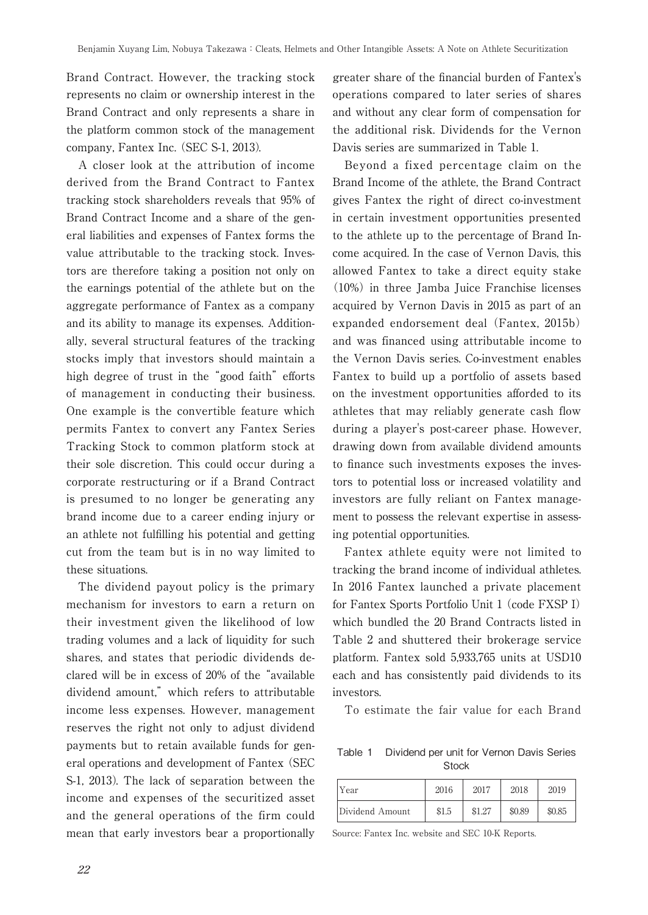Brand Contract. However, the tracking stock represents no claim or ownership interest in the Brand Contract and only represents a share in the platform common stock of the management company, Fantex Inc. (SEC S-1, 2013).

A closer look at the attribution of income derived from the Brand Contract to Fantex tracking stock shareholders reveals that 95% of Brand Contract Income and a share of the general liabilities and expenses of Fantex forms the value attributable to the tracking stock. Investors are therefore taking a position not only on the earnings potential of the athlete but on the aggregate performance of Fantex as a company and its ability to manage its expenses. Additionally, several structural features of the tracking stocks imply that investors should maintain a high degree of trust in the "good faith" efforts of management in conducting their business. One example is the convertible feature which permits Fantex to convert any Fantex Series Tracking Stock to common platform stock at their sole discretion. This could occur during a corporate restructuring or if a Brand Contract is presumed to no longer be generating any brand income due to a career ending injury or an athlete not fulfilling his potential and getting cut from the team but is in no way limited to these situations.

The dividend payout policy is the primary mechanism for investors to earn a return on their investment given the likelihood of low trading volumes and a lack of liquidity for such shares, and states that periodic dividends declared will be in excess of 20% of the "available dividend amount," which refers to attributable income less expenses. However, management reserves the right not only to adjust dividend payments but to retain available funds for general operations and development of Fantex (SEC S-1, 2013). The lack of separation between the income and expenses of the securitized asset and the general operations of the firm could mean that early investors bear a proportionally greater share of the financial burden of Fantex's operations compared to later series of shares and without any clear form of compensation for the additional risk. Dividends for the Vernon Davis series are summarized in Table 1.

Beyond a fixed percentage claim on the Brand Income of the athlete, the Brand Contract gives Fantex the right of direct co-investment in certain investment opportunities presented to the athlete up to the percentage of Brand Income acquired. In the case of Vernon Davis, this allowed Fantex to take a direct equity stake (10%) in three Jamba Juice Franchise licenses acquired by Vernon Davis in 2015 as part of an expanded endorsement deal (Fantex, 2015b) and was financed using attributable income to the Vernon Davis series. Co-investment enables Fantex to build up a portfolio of assets based on the investment opportunities afforded to its athletes that may reliably generate cash flow during a player's post-career phase. However, drawing down from available dividend amounts to finance such investments exposes the investors to potential loss or increased volatility and investors are fully reliant on Fantex management to possess the relevant expertise in assessing potential opportunities.

Fantex athlete equity were not limited to tracking the brand income of individual athletes. In 2016 Fantex launched a private placement for Fantex Sports Portfolio Unit 1 (code FXSP I) which bundled the 20 Brand Contracts listed in Table 2 and shuttered their brokerage service platform. Fantex sold 5,933,765 units at USD10 each and has consistently paid dividends to its investors.

To estimate the fair value for each Brand

Table 1 Dividend per unit for Vernon Davis Series **Stock** 

| Year            | 2016  | 2017   | 2018   | 2019   |
|-----------------|-------|--------|--------|--------|
| Dividend Amount | \$1.5 | \$1.27 | \$0.89 | \$0.85 |

Source: Fantex Inc. website and SEC 10-K Reports.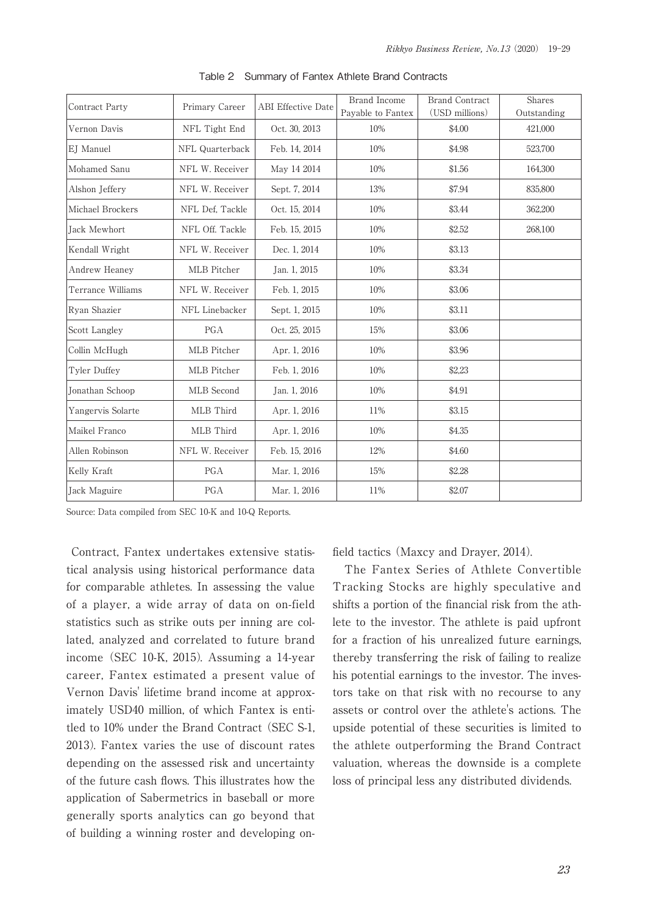| Contract Party      | Primary Career  | <b>ABI</b> Effective Date | Brand Income<br>Payable to Fantex | <b>Brand Contract</b><br>(USD millions) | Shares<br>Outstanding |
|---------------------|-----------------|---------------------------|-----------------------------------|-----------------------------------------|-----------------------|
| Vernon Davis        | NFL Tight End   | Oct. 30, 2013             | 10%                               | \$4.00                                  | 421.000               |
| EJ Manuel           | NFL Quarterback | Feb. 14, 2014             | 10%                               | \$4.98                                  | 523,700               |
| Mohamed Sanu        | NFL W. Receiver | May 14 2014               | 10%                               | \$1.56                                  | 164,300               |
| Alshon Jeffery      | NFL W. Receiver | Sept. 7, 2014             | 13%                               | \$7.94                                  | 835,800               |
| Michael Brockers    | NFL Def, Tackle | Oct. 15, 2014             | 10%                               | \$3.44                                  | 362,200               |
| <b>Jack Mewhort</b> | NFL Off. Tackle | Feb. 15, 2015             | 10%                               | \$2.52                                  | 268,100               |
| Kendall Wright      | NFL W. Receiver | Dec. 1, 2014              | 10%                               | \$3.13                                  |                       |
| Andrew Heaney       | MLB Pitcher     | Jan. 1, 2015              | 10%                               | \$3.34                                  |                       |
| Terrance Williams   | NFL W. Receiver | Feb. 1, 2015              | 10%                               | \$3.06                                  |                       |
| Ryan Shazier        | NFL Linebacker  | Sept. 1, 2015             | 10%                               | \$3.11                                  |                       |
| Scott Langley       | PGA             | Oct. 25, 2015             | 15%                               | \$3.06                                  |                       |
| Collin McHugh       | MLB Pitcher     | Apr. 1, 2016              | 10%                               | \$3.96                                  |                       |
| Tyler Duffey        | MLB Pitcher     | Feb. 1, 2016              | 10%                               | \$2,23                                  |                       |
| Jonathan Schoop     | MLB Second      | Jan. 1, 2016              | 10%                               | \$4.91                                  |                       |
| Yangervis Solarte   | MLB Third       | Apr. 1, 2016              | 11%                               | \$3.15                                  |                       |
| Maikel Franco       | MLB Third       | Apr. 1, 2016              | 10%                               | \$4.35                                  |                       |
| Allen Robinson      | NFL W. Receiver | Feb. 15, 2016             | 12%                               | \$4.60                                  |                       |
| Kelly Kraft         | PGA             | Mar. 1, 2016              | 15%                               | \$2.28                                  |                       |
| Jack Maguire        | PGA             | Mar. 1, 2016              | 11%                               | \$2.07                                  |                       |

Table 2 Summary of Fantex Athlete Brand Contracts

Source: Data compiled from SEC 10-K and 10-Q Reports.

 Contract, Fantex undertakes extensive statistical analysis using historical performance data for comparable athletes. In assessing the value of a player, a wide array of data on on-field statistics such as strike outs per inning are collated, analyzed and correlated to future brand income (SEC 10-K, 2015). Assuming a 14-year career, Fantex estimated a present value of Vernon Davis' lifetime brand income at approximately USD40 million, of which Fantex is entitled to 10% under the Brand Contract (SEC S-1, 2013). Fantex varies the use of discount rates depending on the assessed risk and uncertainty of the future cash flows. This illustrates how the application of Sabermetrics in baseball or more generally sports analytics can go beyond that of building a winning roster and developing onfield tactics (Maxcy and Drayer, 2014).

The Fantex Series of Athlete Convertible Tracking Stocks are highly speculative and shifts a portion of the financial risk from the athlete to the investor. The athlete is paid upfront for a fraction of his unrealized future earnings, thereby transferring the risk of failing to realize his potential earnings to the investor. The investors take on that risk with no recourse to any assets or control over the athlete's actions. The upside potential of these securities is limited to the athlete outperforming the Brand Contract valuation, whereas the downside is a complete loss of principal less any distributed dividends.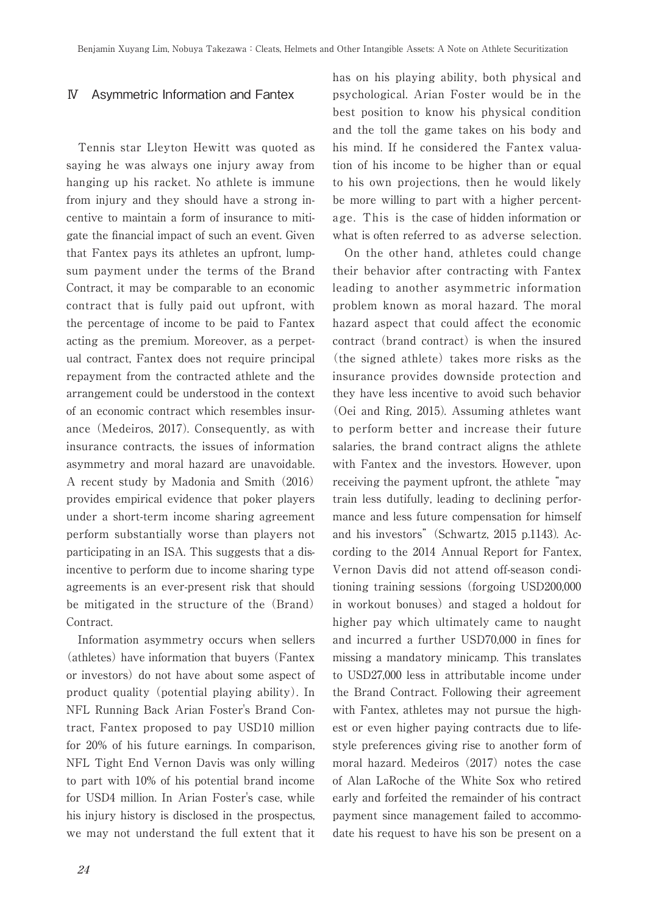## Ⅳ Asymmetric Information and Fantex

Tennis star Lleyton Hewitt was quoted as saying he was always one injury away from hanging up his racket. No athlete is immune from injury and they should have a strong incentive to maintain a form of insurance to mitigate the financial impact of such an event. Given that Fantex pays its athletes an upfront, lumpsum payment under the terms of the Brand Contract, it may be comparable to an economic contract that is fully paid out upfront, with the percentage of income to be paid to Fantex acting as the premium. Moreover, as a perpetual contract, Fantex does not require principal repayment from the contracted athlete and the arrangement could be understood in the context of an economic contract which resembles insurance (Medeiros, 2017). Consequently, as with insurance contracts, the issues of information asymmetry and moral hazard are unavoidable. A recent study by Madonia and Smith (2016) provides empirical evidence that poker players under a short-term income sharing agreement perform substantially worse than players not participating in an ISA. This suggests that a disincentive to perform due to income sharing type agreements is an ever-present risk that should be mitigated in the structure of the (Brand) Contract.

Information asymmetry occurs when sellers (athletes) have information that buyers (Fantex or investors) do not have about some aspect of product quality (potential playing ability). In NFL Running Back Arian Foster's Brand Contract, Fantex proposed to pay USD10 million for 20% of his future earnings. In comparison, NFL Tight End Vernon Davis was only willing to part with 10% of his potential brand income for USD4 million. In Arian Foster's case, while his injury history is disclosed in the prospectus, we may not understand the full extent that it

has on his playing ability, both physical and psychological. Arian Foster would be in the best position to know his physical condition and the toll the game takes on his body and his mind. If he considered the Fantex valuation of his income to be higher than or equal to his own projections, then he would likely be more willing to part with a higher percentage. This is the case of hidden information or what is often referred to as adverse selection.

On the other hand, athletes could change their behavior after contracting with Fantex leading to another asymmetric information problem known as moral hazard. The moral hazard aspect that could affect the economic contract (brand contract) is when the insured (the signed athlete) takes more risks as the insurance provides downside protection and they have less incentive to avoid such behavior (Oei and Ring, 2015). Assuming athletes want to perform better and increase their future salaries, the brand contract aligns the athlete with Fantex and the investors. However, upon receiving the payment upfront, the athlete "may train less dutifully, leading to declining performance and less future compensation for himself and his investors" (Schwartz, 2015 p.1143). According to the 2014 Annual Report for Fantex, Vernon Davis did not attend off-season conditioning training sessions (forgoing USD200,000 in workout bonuses) and staged a holdout for higher pay which ultimately came to naught and incurred a further USD70,000 in fines for missing a mandatory minicamp. This translates to USD27,000 less in attributable income under the Brand Contract. Following their agreement with Fantex, athletes may not pursue the highest or even higher paying contracts due to lifestyle preferences giving rise to another form of moral hazard. Medeiros (2017) notes the case of Alan LaRoche of the White Sox who retired early and forfeited the remainder of his contract payment since management failed to accommodate his request to have his son be present on a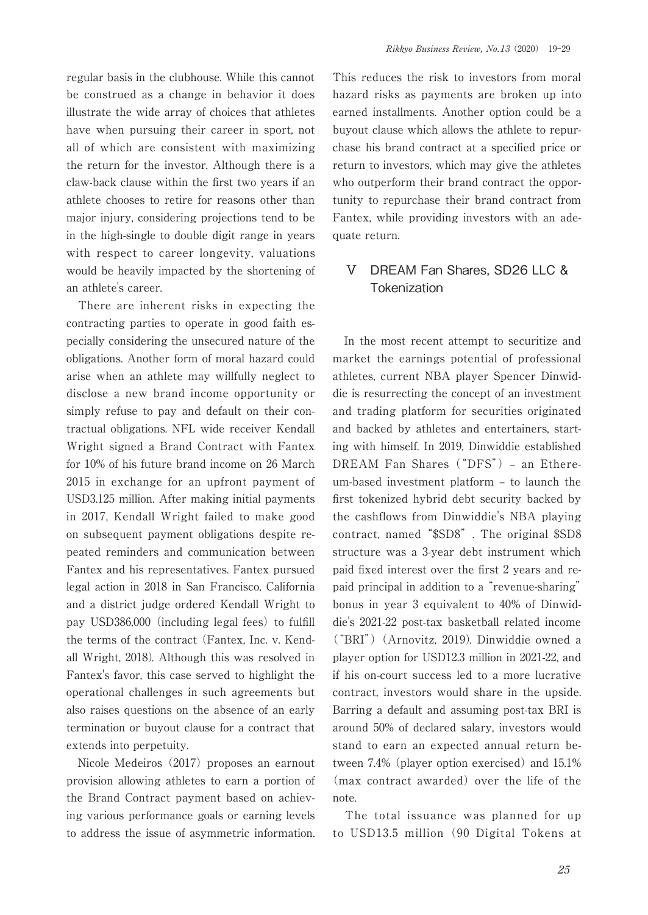regular basis in the clubhouse. While this cannot be construed as a change in behavior it does illustrate the wide array of choices that athletes have when pursuing their career in sport, not all of which are consistent with maximizing the return for the investor. Although there is a claw-back clause within the first two years if an athlete chooses to retire for reasons other than major injury, considering projections tend to be in the high-single to double digit range in years with respect to career longevity, valuations would be heavily impacted by the shortening of an athlete's career.

There are inherent risks in expecting the contracting parties to operate in good faith especially considering the unsecured nature of the obligations. Another form of moral hazard could arise when an athlete may willfully neglect to disclose a new brand income opportunity or simply refuse to pay and default on their contractual obligations. NFL wide receiver Kendall Wright signed a Brand Contract with Fantex for 10% of his future brand income on 26 March 2015 in exchange for an upfront payment of USD3.125 million. After making initial payments in 2017, Kendall Wright failed to make good on subsequent payment obligations despite repeated reminders and communication between Fantex and his representatives. Fantex pursued legal action in 2018 in San Francisco, California and a district judge ordered Kendall Wright to pay USD386,000 (including legal fees) to fulfill the terms of the contract (Fantex, Inc. v. Kendall Wright, 2018). Although this was resolved in Fantex's favor, this case served to highlight the operational challenges in such agreements but also raises questions on the absence of an early termination or buyout clause for a contract that extends into perpetuity.

Nicole Medeiros (2017) proposes an earnout provision allowing athletes to earn a portion of the Brand Contract payment based on achieving various performance goals or earning levels to address the issue of asymmetric information.

This reduces the risk to investors from moral hazard risks as payments are broken up into earned installments. Another option could be a buyout clause which allows the athlete to repurchase his brand contract at a specified price or return to investors, which may give the athletes who outperform their brand contract the opportunity to repurchase their brand contract from Fantex, while providing investors with an adequate return.

# Ⅴ DREAM Fan Shares, SD26 LLC & **Tokenization**

In the most recent attempt to securitize and market the earnings potential of professional athletes, current NBA player Spencer Dinwiddie is resurrecting the concept of an investment and trading platform for securities originated and backed by athletes and entertainers, starting with himself. In 2019, Dinwiddie established DREAM Fan Shares ("DFS") – an Ethereum-based investment platform – to launch the first tokenized hybrid debt security backed by the cashflows from Dinwiddie's NBA playing contract, named "\$SD8". The original \$SD8 structure was a 3-year debt instrument which paid fixed interest over the first 2 years and repaid principal in addition to a "revenue-sharing" bonus in year 3 equivalent to 40% of Dinwiddie's 2021-22 post-tax basketball related income ("BRI")(Arnovitz, 2019). Dinwiddie owned a player option for USD12.3 million in 2021-22, and if his on-court success led to a more lucrative contract, investors would share in the upside. Barring a default and assuming post-tax BRI is around 50% of declared salary, investors would stand to earn an expected annual return between 7.4% (player option exercised) and 15.1% (max contract awarded) over the life of the note.

The total issuance was planned for up to USD13.5 million (90 Digital Tokens at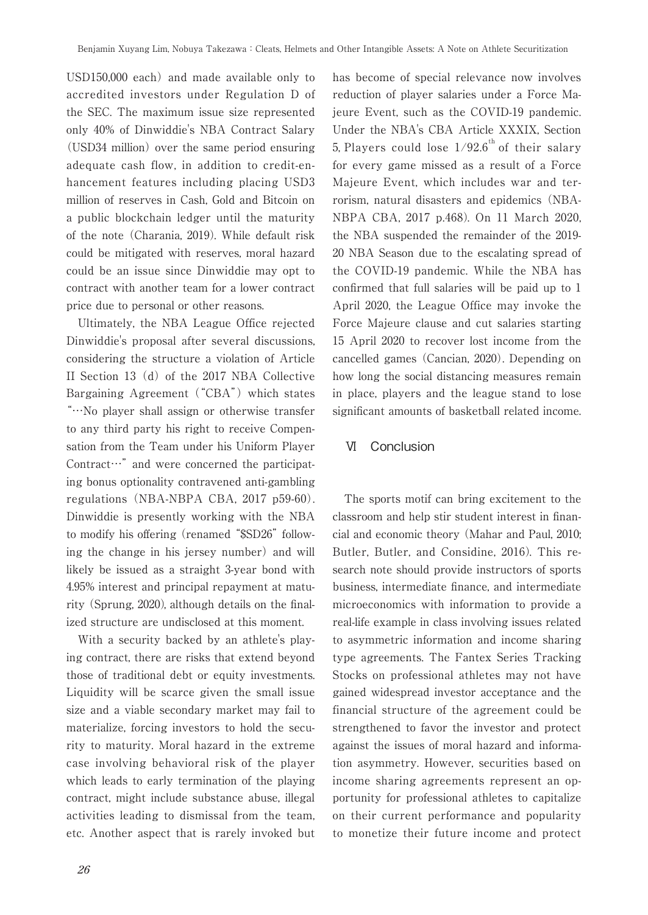USD150,000 each) and made available only to accredited investors under Regulation D of the SEC. The maximum issue size represented only 40% of Dinwiddie's NBA Contract Salary (USD34 million) over the same period ensuring adequate cash flow, in addition to credit-enhancement features including placing USD3 million of reserves in Cash, Gold and Bitcoin on a public blockchain ledger until the maturity of the note (Charania, 2019). While default risk could be mitigated with reserves, moral hazard could be an issue since Dinwiddie may opt to contract with another team for a lower contract price due to personal or other reasons.

Ultimately, the NBA League Office rejected Dinwiddie's proposal after several discussions, considering the structure a violation of Article II Section 13(d) of the 2017 NBA Collective Bargaining Agreement ("CBA") which states "…No player shall assign or otherwise transfer to any third party his right to receive Compensation from the Team under his Uniform Player Contract…" and were concerned the participating bonus optionality contravened anti-gambling regulations (NBA-NBPA CBA, 2017 p59-60). Dinwiddie is presently working with the NBA to modify his offering (renamed "\$SD26" following the change in his jersey number) and will likely be issued as a straight 3-year bond with 4.95% interest and principal repayment at maturity (Sprung, 2020), although details on the finalized structure are undisclosed at this moment.

With a security backed by an athlete's playing contract, there are risks that extend beyond those of traditional debt or equity investments. Liquidity will be scarce given the small issue size and a viable secondary market may fail to materialize, forcing investors to hold the security to maturity. Moral hazard in the extreme case involving behavioral risk of the player which leads to early termination of the playing contract, might include substance abuse, illegal activities leading to dismissal from the team, etc. Another aspect that is rarely invoked but has become of special relevance now involves reduction of player salaries under a Force Majeure Event, such as the COVID-19 pandemic. Under the NBA's CBA Article XXXIX, Section 5. Players could lose  $1/92.6$ <sup>th</sup> of their salary for every game missed as a result of a Force Majeure Event, which includes war and terrorism, natural disasters and epidemics (NBA-NBPA CBA, 2017 p.468). On 11 March 2020, the NBA suspended the remainder of the 2019- 20 NBA Season due to the escalating spread of the COVID-19 pandemic. While the NBA has confirmed that full salaries will be paid up to 1 April 2020, the League Office may invoke the Force Majeure clause and cut salaries starting 15 April 2020 to recover lost income from the cancelled games (Cancian, 2020). Depending on how long the social distancing measures remain in place, players and the league stand to lose significant amounts of basketball related income.

## Ⅵ Conclusion

The sports motif can bring excitement to the classroom and help stir student interest in financial and economic theory (Mahar and Paul, 2010; Butler, Butler, and Considine, 2016). This research note should provide instructors of sports business, intermediate finance, and intermediate microeconomics with information to provide a real-life example in class involving issues related to asymmetric information and income sharing type agreements. The Fantex Series Tracking Stocks on professional athletes may not have gained widespread investor acceptance and the financial structure of the agreement could be strengthened to favor the investor and protect against the issues of moral hazard and information asymmetry. However, securities based on income sharing agreements represent an opportunity for professional athletes to capitalize on their current performance and popularity to monetize their future income and protect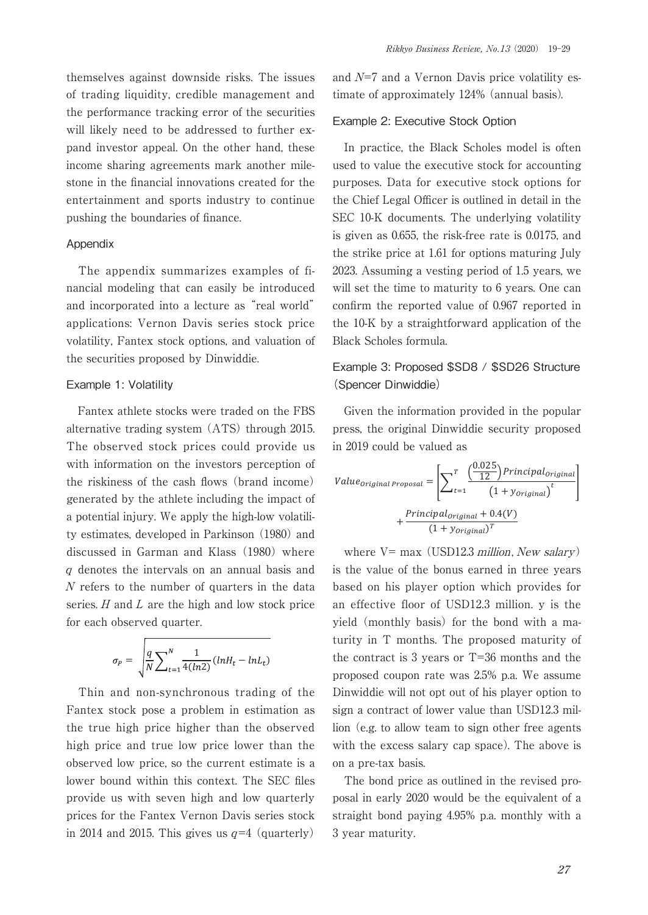themselves against downside risks. The issues of trading liquidity, credible management and the performance tracking error of the securities will likely need to be addressed to further expand investor appeal. On the other hand, these income sharing agreements mark another milestone in the financial innovations created for the entertainment and sports industry to continue pushing the boundaries of finance.

#### Appendix

The appendix summarizes examples of financial modeling that can easily be introduced and incorporated into a lecture as "real world" applications: Vernon Davis series stock price volatility, Fantex stock options, and valuation of the securities proposed by Dinwiddie.

### Example 1: Volatility

Fantex athlete stocks were traded on the FBS alternative trading system (ATS) through 2015. The observed stock prices could provide us with information on the investors perception of the riskiness of the cash flows (brand income) generated by the athlete including the impact of a potential injury. We apply the high-low volatility estimates, developed in Parkinson (1980) and discussed in Garman and Klass (1980) where <sup>q</sup> denotes the intervals on an annual basis and N refers to the number of quarters in the data series.  $H$  and  $L$  are the high and low stock price for each observed quarter.

$$
\sigma_P = \sqrt{\frac{q}{N} \sum_{t=1}^{N} \frac{1}{4(ln2)} (ln H_t - ln L_t)}
$$

Thin and non-synchronous trading of the Fantex stock pose a problem in estimation as the true high price higher than the observed high price and true low price lower than the observed low price, so the current estimate is a lower bound within this context. The SEC files provide us with seven high and low quarterly prices for the Fantex Vernon Davis series stock in 2014 and 2015. This gives us  $q=4$  (quarterly) and  $N=7$  and a Vernon Davis price volatility estimate of approximately 124% (annual basis).

#### Example 2: Executive Stock Option

In practice, the Black Scholes model is often used to value the executive stock for accounting purposes. Data for executive stock options for the Chief Legal Officer is outlined in detail in the SEC 10-K documents. The underlying volatility is given as 0.655, the risk-free rate is 0.0175, and the strike price at 1.61 for options maturing July 2023. Assuming a vesting period of 1.5 years, we will set the time to maturity to 6 years. One can confirm the reported value of 0.967 reported in the 10-K by a straightforward application of the Black Scholes formula.

# Example 3: Proposed \$SD8 / \$SD26 Structure (Spencer Dinwiddie)

Given the information provided in the popular press, the original Dinwiddie security proposed in 2019 could be valued as

$$
Value_{original\,Proposal} = \left[ \sum_{t=1}^{T} \frac{\left( \frac{0.025}{12} \right) Principal_{original}}{\left( 1 + y_{original} \right)^{t}} \right]
$$

$$
+ \frac{Principal_{original} + 0.4(V)}{\left( 1 + y_{original} \right)^{T}}
$$

where  $V=$  max (USD12.3 *million*, *New salary*) is the value of the bonus earned in three years based on his player option which provides for an effective floor of USD12.3 million. y is the yield (monthly basis) for the bond with a maturity in T months. The proposed maturity of the contract is 3 years or T=36 months and the proposed coupon rate was 2.5% p.a. We assume Dinwiddie will not opt out of his player option to sign a contract of lower value than USD12.3 million (e.g. to allow team to sign other free agents with the excess salary cap space). The above is on a pre-tax basis.

The bond price as outlined in the revised proposal in early 2020 would be the equivalent of a straight bond paying 4.95% p.a. monthly with a 3 year maturity.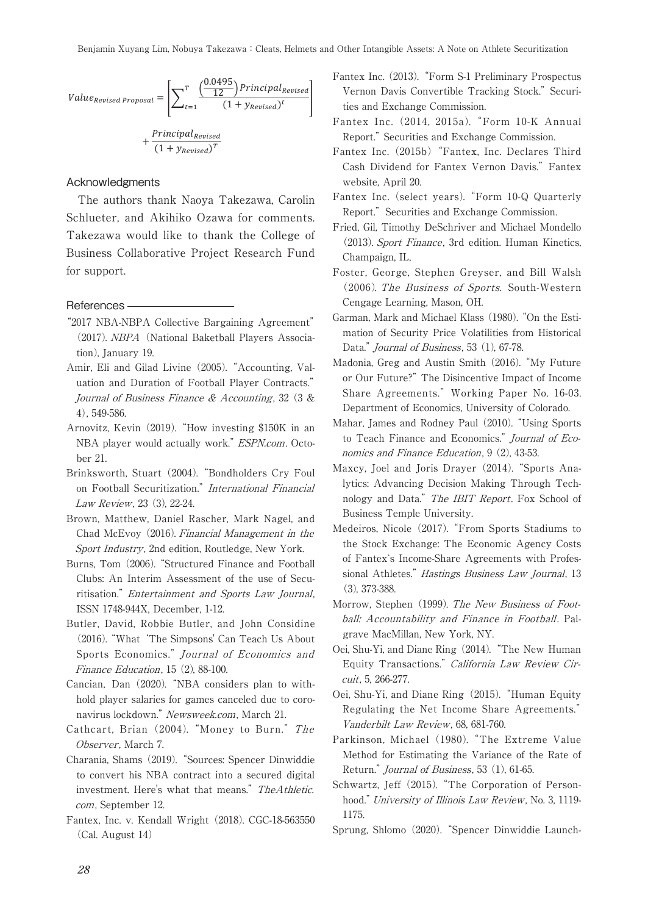$$
Value_{Revised\,Proposal} = \left[ \sum_{t=1}^{T} \frac{\left( \frac{0.0495}{12} \right) \text{Principal}_{Revised}}{\left( 1 + y_{Revised} \right)^t} \right]
$$

$$
+ \frac{\text{Principal}_{Revised}}{\left( 1 + y_{Revised} \right)^T}
$$

#### Acknowledgments

The authors thank Naoya Takezawa, Carolin Schlueter, and Akihiko Ozawa for comments. Takezawa would like to thank the College of Business Collaborative Project Research Fund for support.

#### References

- "2017 NBA-NBPA Collective Bargaining Agreement" (2017). NBPA (National Baketball Players Association), January 19.
- Amir, Eli and Gilad Livine (2005)."Accounting, Valuation and Duration of Football Player Contracts." Journal of Business Finance & Accounting, 32 (3 & 4), 549-586.
- Arnovitz, Kevin (2019)."How investing \$150K in an NBA player would actually work." ESPN.com. October 21.
- Brinksworth, Stuart (2004)."Bondholders Cry Foul on Football Securitization." International Financial Law Review, 23 (3), 22-24.
- Brown, Matthew, Daniel Rascher, Mark Nagel, and Chad McEvoy (2016). Financial Management in the Sport Industry, 2nd edition, Routledge, New York.
- Burns, Tom (2006). "Structured Finance and Football Clubs: An Interim Assessment of the use of Securitisation." Entertainment and Sports Law Journal, ISSN 1748-944X, December, 1-12.
- Butler, David, Robbie Butler, and John Considine (2016). "What 'The Simpsons' Can Teach Us About Sports Economics." Journal of Economics and Finance Education, 15 (2), 88-100.
- Cancian, Dan (2020)."NBA considers plan to withhold player salaries for games canceled due to coronavirus lockdown." Newsweek.com, March 21.
- Cathcart, Brian (2004). "Money to Burn." The Observer, March 7.
- Charania, Shams (2019)."Sources: Spencer Dinwiddie to convert his NBA contract into a secured digital investment. Here's what that means." TheAthletic. com, September 12.
- Fantex, Inc. v. Kendall Wright (2018). CGC-18-563550 (Cal. August 14)
- Fantex Inc. (2013)."Form S-1 Preliminary Prospectus Vernon Davis Convertible Tracking Stock." Securi-<br>
tion and Exphange Commission ties and Exchange Commission.
	- Fantex Inc. (2014, 2015a). "Form 10-K Annual Report." Securities and Exchange Commission.
	- Fantex Inc. (2015b) "Fantex, Inc. Declares Third Cash Dividend for Fantex Vernon Davis." Fantex website, April 20.
	- Fantex Inc. (select years)."Form 10-Q Quarterly Report." Securities and Exchange Commission.
	- Fried, Gil, Timothy DeSchriver and Michael Mondello (2013). Sport Finance, 3rd edition. Human Kinetics, Champaign, IL,
	- Foster, George, Stephen Greyser, and Bill Walsh (2006). The Business of Sports. South-Western Cengage Learning, Mason, OH.
	- Garman, Mark and Michael Klass (1980). "On the Estimation of Security Price Volatilities from Historical Data." *Journal of Business*, 53 (1), 67-78.
	- Madonia, Greg and Austin Smith (2016). "My Future or Our Future?" The Disincentive Impact of Income Share Agreements." Working Paper No. 16-03. Department of Economics, University of Colorado.
	- Mahar, James and Rodney Paul (2010). "Using Sports to Teach Finance and Economics." Journal of Economics and Finance Education, 9 (2), 43-53.
	- Maxcy, Joel and Joris Drayer (2014). "Sports Analytics: Advancing Decision Making Through Technology and Data." The IBIT Report. Fox School of Business Temple University.
	- Medeiros, Nicole (2017). "From Sports Stadiums to the Stock Exchange: The Economic Agency Costs of Fantex`s Income-Share Agreements with Professional Athletes." Hastings Business Law Journal, 13 (3), 373-388.
	- Morrow, Stephen (1999). The New Business of Football: Accountability and Finance in Football. Palgrave MacMillan, New York, NY.
	- Oei, Shu-Yi, and Diane Ring (2014)."The New Human Equity Transactions." California Law Review Circuit, 5, 266-277.
	- Oei, Shu-Yi, and Diane Ring(2015)."Human Equity Regulating the Net Income Share Agreements." Vanderbilt Law Review, 68, 681-760.
	- Parkinson, Michael (1980). "The Extreme Value Method for Estimating the Variance of the Rate of Return." *Journal of Business*, 53 (1), 61-65.
	- Schwartz, Jeff (2015). "The Corporation of Personhood." University of Illinois Law Review, No. 3, 1119-1175.
	- Sprung, Shlomo (2020)."Spencer Dinwiddie Launch-